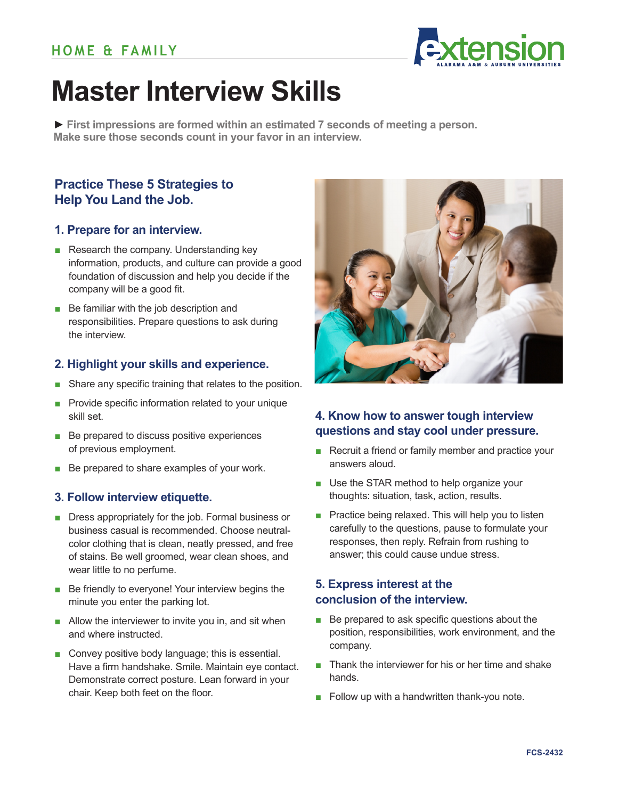

# **Master Interview Skills**

**► First impressions are formed within an estimated 7 seconds of meeting a person. Make sure those seconds count in your favor in an interview.** 

## **Practice These 5 Strategies to Help You Land the Job.**

#### **1. Prepare for an interview.**

- Research the company. Understanding key information, products, and culture can provide a good foundation of discussion and help you decide if the company will be a good fit.
- Be familiar with the job description and responsibilities. Prepare questions to ask during the interview.

#### **2. Highlight your skills and experience.**

- Share any specific training that relates to the position.
- Provide specific information related to your unique skill set.
- Be prepared to discuss positive experiences of previous employment.
- Be prepared to share examples of your work.

#### **3. Follow interview etiquette.**

- Dress appropriately for the job. Formal business or business casual is recommended. Choose neutralcolor clothing that is clean, neatly pressed, and free of stains. Be well groomed, wear clean shoes, and wear little to no perfume.
- Be friendly to everyone! Your interview begins the minute you enter the parking lot.
- Allow the interviewer to invite you in, and sit when and where instructed.
- Convey positive body language; this is essential. Have a firm handshake. Smile. Maintain eye contact. Demonstrate correct posture. Lean forward in your chair. Keep both feet on the floor.



## **4. Know how to answer tough interview questions and stay cool under pressure.**

- Recruit a friend or family member and practice your answers aloud.
- Use the STAR method to help organize your thoughts: situation, task, action, results.
- Practice being relaxed. This will help you to listen carefully to the questions, pause to formulate your responses, then reply. Refrain from rushing to answer; this could cause undue stress.

## **5. Express interest at the conclusion of the interview.**

- Be prepared to ask specific questions about the position, responsibilities, work environment, and the company.
- Thank the interviewer for his or her time and shake hands.
- Follow up with a handwritten thank-you note.